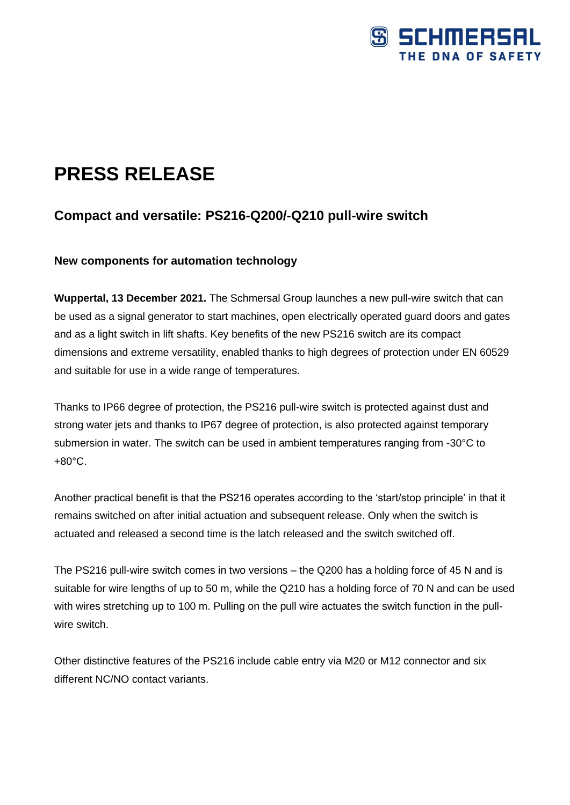

# **PRESS RELEASE**

## **Compact and versatile: PS216-Q200/-Q210 pull-wire switch**

### **New components for automation technology**

**Wuppertal, 13 December 2021.** The Schmersal Group launches a new pull-wire switch that can be used as a signal generator to start machines, open electrically operated guard doors and gates and as a light switch in lift shafts. Key benefits of the new PS216 switch are its compact dimensions and extreme versatility, enabled thanks to high degrees of protection under EN 60529 and suitable for use in a wide range of temperatures.

Thanks to IP66 degree of protection, the PS216 pull-wire switch is protected against dust and strong water jets and thanks to IP67 degree of protection, is also protected against temporary submersion in water. The switch can be used in ambient temperatures ranging from -30°C to +80°C.

Another practical benefit is that the PS216 operates according to the 'start/stop principle' in that it remains switched on after initial actuation and subsequent release. Only when the switch is actuated and released a second time is the latch released and the switch switched off.

The PS216 pull-wire switch comes in two versions – the Q200 has a holding force of 45 N and is suitable for wire lengths of up to 50 m, while the Q210 has a holding force of 70 N and can be used with wires stretching up to 100 m. Pulling on the pull wire actuates the switch function in the pullwire switch.

Other distinctive features of the PS216 include cable entry via M20 or M12 connector and six different NC/NO contact variants.